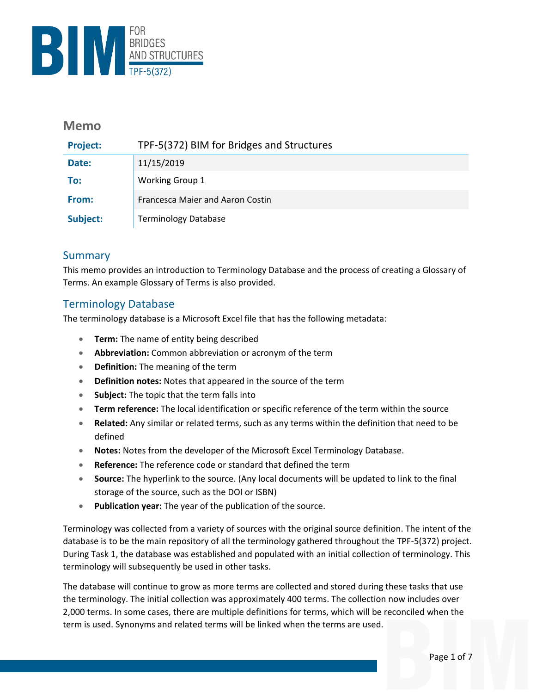

## **Memo**

| <b>Project:</b> | TPF-5(372) BIM for Bridges and Structures |
|-----------------|-------------------------------------------|
| Date:           | 11/15/2019                                |
| To:             | <b>Working Group 1</b>                    |
| From:           | <b>Francesca Maier and Aaron Costin</b>   |
| Subject:        | <b>Terminology Database</b>               |

# Summary

This memo provides an introduction to Terminology Database and the process of creating a Glossary of Terms. An example Glossary of Terms is also provided.

#### Terminology Database

The terminology database is a Microsoft Excel file that has the following metadata:

- **Term:** The name of entity being described
- **Abbreviation:** Common abbreviation or acronym of the term
- **Definition:** The meaning of the term
- **Definition notes:** Notes that appeared in the source of the term
- **Subject:** The topic that the term falls into
- **Term reference:** The local identification or specific reference of the term within the source
- **Related:** Any similar or related terms, such as any terms within the definition that need to be defined
- **Notes:** Notes from the developer of the Microsoft Excel Terminology Database.
- **Reference:** The reference code or standard that defined the term
- **Source:** The hyperlink to the source. (Any local documents will be updated to link to the final storage of the source, such as the DOI or ISBN)
- **Publication year:** The year of the publication of the source.

Terminology was collected from a variety of sources with the original source definition. The intent of the database is to be the main repository of all the terminology gathered throughout the TPF-5(372) project. During Task 1, the database was established and populated with an initial collection of terminology. This terminology will subsequently be used in other tasks.

The database will continue to grow as more terms are collected and stored during these tasks that use the terminology. The initial collection was approximately 400 terms. The collection now includes over 2,000 terms. In some cases, there are multiple definitions for terms, which will be reconciled when the term is used. Synonyms and related terms will be linked when the terms are used.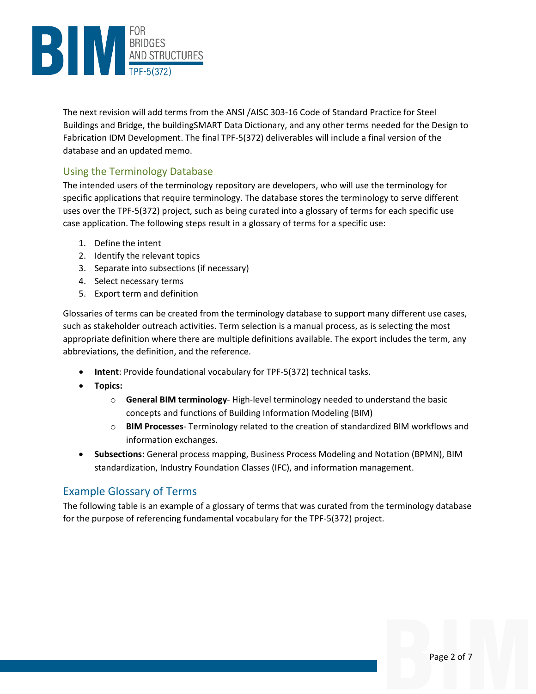

The next revision will add terms from the ANSI /AISC 303-16 Code of Standard Practice for Steel Buildings and Bridge, the buildingSMART Data Dictionary, and any other terms needed for the Design to Fabrication IDM Development. The final TPF-5(372) deliverables will include a final version of the database and an updated memo.

# Using the Terminology Database

The intended users of the terminology repository are developers, who will use the terminology for specific applications that require terminology. The database stores the terminology to serve different uses over the TPF-5(372) project, such as being curated into a glossary of terms for each specific use case application. The following steps result in a glossary of terms for a specific use:

- 1. Define the intent
- 2. Identify the relevant topics
- 3. Separate into subsections (if necessary)
- 4. Select necessary terms
- 5. Export term and definition

Glossaries of terms can be created from the terminology database to support many different use cases, such as stakeholder outreach activities. Term selection is a manual process, as is selecting the most appropriate definition where there are multiple definitions available. The export includes the term, any abbreviations, the definition, and the reference.

- **Intent**: Provide foundational vocabulary for TPF-5(372) technical tasks.
- **Topics:**
	- o **General BIM terminology** High-level terminology needed to understand the basic concepts and functions of Building Information Modeling (BIM)
	- o **BIM Processes** Terminology related to the creation of standardized BIM workflows and information exchanges.
- **Subsections:** General process mapping, Business Process Modeling and Notation (BPMN), BIM standardization, Industry Foundation Classes (IFC), and information management.

#### Example Glossary of Terms

The following table is an example of a glossary of terms that was curated from the terminology database for the purpose of referencing fundamental vocabulary for the TPF-5(372) project.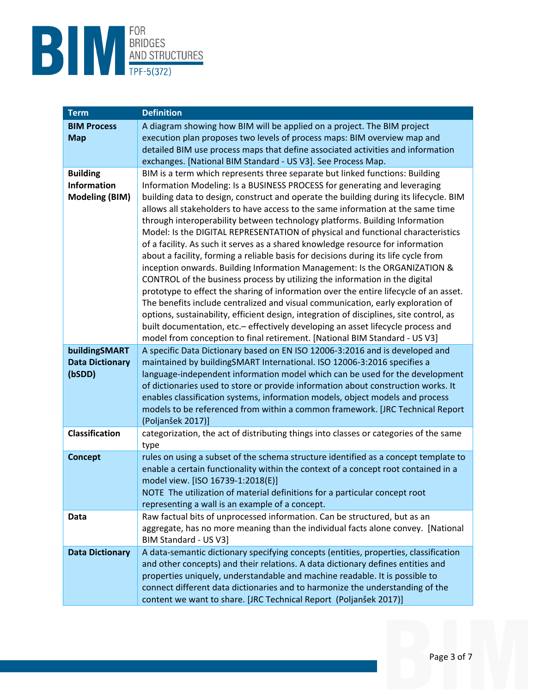

| <b>Term</b>            | <b>Definition</b>                                                                                                                                                |
|------------------------|------------------------------------------------------------------------------------------------------------------------------------------------------------------|
| <b>BIM Process</b>     | A diagram showing how BIM will be applied on a project. The BIM project                                                                                          |
| <b>Map</b>             | execution plan proposes two levels of process maps: BIM overview map and                                                                                         |
|                        | detailed BIM use process maps that define associated activities and information                                                                                  |
|                        | exchanges. [National BIM Standard - US V3]. See Process Map.                                                                                                     |
| <b>Building</b>        | BIM is a term which represents three separate but linked functions: Building                                                                                     |
| <b>Information</b>     | Information Modeling: Is a BUSINESS PROCESS for generating and leveraging                                                                                        |
| <b>Modeling (BIM)</b>  | building data to design, construct and operate the building during its lifecycle. BIM                                                                            |
|                        | allows all stakeholders to have access to the same information at the same time                                                                                  |
|                        | through interoperability between technology platforms. Building Information                                                                                      |
|                        | Model: Is the DIGITAL REPRESENTATION of physical and functional characteristics                                                                                  |
|                        | of a facility. As such it serves as a shared knowledge resource for information                                                                                  |
|                        | about a facility, forming a reliable basis for decisions during its life cycle from<br>inception onwards. Building Information Management: Is the ORGANIZATION & |
|                        | CONTROL of the business process by utilizing the information in the digital                                                                                      |
|                        | prototype to effect the sharing of information over the entire lifecycle of an asset.                                                                            |
|                        | The benefits include centralized and visual communication, early exploration of                                                                                  |
|                        | options, sustainability, efficient design, integration of disciplines, site control, as                                                                          |
|                        | built documentation, etc.- effectively developing an asset lifecycle process and                                                                                 |
|                        | model from conception to final retirement. [National BIM Standard - US V3]                                                                                       |
| buildingSMART          | A specific Data Dictionary based on EN ISO 12006-3:2016 and is developed and                                                                                     |
| <b>Data Dictionary</b> | maintained by buildingSMART International. ISO 12006-3:2016 specifies a                                                                                          |
| (bSDD)                 | language-independent information model which can be used for the development                                                                                     |
|                        | of dictionaries used to store or provide information about construction works. It                                                                                |
|                        | enables classification systems, information models, object models and process                                                                                    |
|                        | models to be referenced from within a common framework. [JRC Technical Report                                                                                    |
|                        | (Poljanšek 2017)]                                                                                                                                                |
| Classification         | categorization, the act of distributing things into classes or categories of the same                                                                            |
|                        | type                                                                                                                                                             |
| <b>Concept</b>         | rules on using a subset of the schema structure identified as a concept template to                                                                              |
|                        | enable a certain functionality within the context of a concept root contained in a<br>model view. [ISO 16739-1:2018(E)]                                          |
|                        | NOTE The utilization of material definitions for a particular concept root                                                                                       |
|                        | representing a wall is an example of a concept.                                                                                                                  |
| Data                   | Raw factual bits of unprocessed information. Can be structured, but as an                                                                                        |
|                        | aggregate, has no more meaning than the individual facts alone convey. [National                                                                                 |
|                        | BIM Standard - US V3]                                                                                                                                            |
| <b>Data Dictionary</b> | A data-semantic dictionary specifying concepts (entities, properties, classification                                                                             |
|                        | and other concepts) and their relations. A data dictionary defines entities and                                                                                  |
|                        | properties uniquely, understandable and machine readable. It is possible to                                                                                      |
|                        | connect different data dictionaries and to harmonize the understanding of the                                                                                    |
|                        | content we want to share. [JRC Technical Report (Poljanšek 2017)]                                                                                                |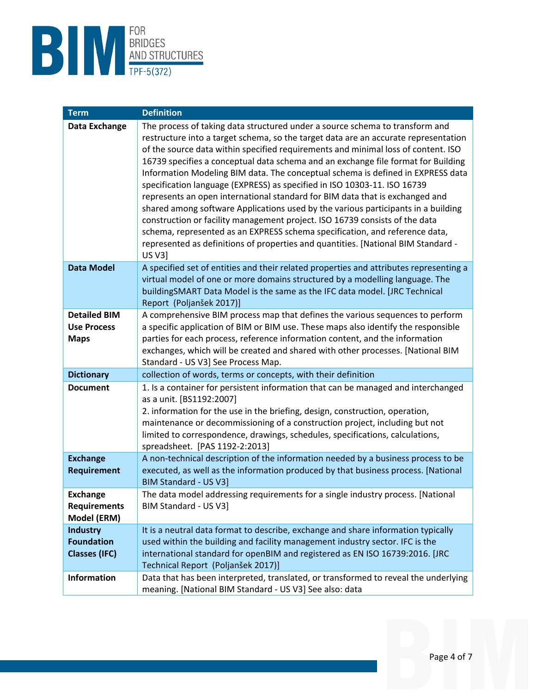

| <b>Term</b>                                                  | <b>Definition</b>                                                                                                                                                                                                                                                                                                                                                                                                                                                                                                                                                                                                                                                                                                                                                                                                                                                                                                                                     |
|--------------------------------------------------------------|-------------------------------------------------------------------------------------------------------------------------------------------------------------------------------------------------------------------------------------------------------------------------------------------------------------------------------------------------------------------------------------------------------------------------------------------------------------------------------------------------------------------------------------------------------------------------------------------------------------------------------------------------------------------------------------------------------------------------------------------------------------------------------------------------------------------------------------------------------------------------------------------------------------------------------------------------------|
| Data Exchange                                                | The process of taking data structured under a source schema to transform and<br>restructure into a target schema, so the target data are an accurate representation<br>of the source data within specified requirements and minimal loss of content. ISO<br>16739 specifies a conceptual data schema and an exchange file format for Building<br>Information Modeling BIM data. The conceptual schema is defined in EXPRESS data<br>specification language (EXPRESS) as specified in ISO 10303-11. ISO 16739<br>represents an open international standard for BIM data that is exchanged and<br>shared among software Applications used by the various participants in a building<br>construction or facility management project. ISO 16739 consists of the data<br>schema, represented as an EXPRESS schema specification, and reference data,<br>represented as definitions of properties and quantities. [National BIM Standard -<br><b>US V3]</b> |
| <b>Data Model</b>                                            | A specified set of entities and their related properties and attributes representing a<br>virtual model of one or more domains structured by a modelling language. The<br>buildingSMART Data Model is the same as the IFC data model. [JRC Technical<br>Report (Poljanšek 2017)]                                                                                                                                                                                                                                                                                                                                                                                                                                                                                                                                                                                                                                                                      |
| <b>Detailed BIM</b><br><b>Use Process</b><br><b>Maps</b>     | A comprehensive BIM process map that defines the various sequences to perform<br>a specific application of BIM or BIM use. These maps also identify the responsible<br>parties for each process, reference information content, and the information<br>exchanges, which will be created and shared with other processes. [National BIM<br>Standard - US V3] See Process Map.                                                                                                                                                                                                                                                                                                                                                                                                                                                                                                                                                                          |
| <b>Dictionary</b>                                            | collection of words, terms or concepts, with their definition                                                                                                                                                                                                                                                                                                                                                                                                                                                                                                                                                                                                                                                                                                                                                                                                                                                                                         |
| <b>Document</b>                                              | 1. Is a container for persistent information that can be managed and interchanged<br>as a unit. [BS1192:2007]<br>2. information for the use in the briefing, design, construction, operation,<br>maintenance or decommissioning of a construction project, including but not<br>limited to correspondence, drawings, schedules, specifications, calculations,<br>spreadsheet. [PAS 1192-2:2013]                                                                                                                                                                                                                                                                                                                                                                                                                                                                                                                                                       |
| <b>Exchange</b><br><b>Requirement</b>                        | A non-technical description of the information needed by a business process to be<br>executed, as well as the information produced by that business process. [National<br><b>BIM Standard - US V3]</b>                                                                                                                                                                                                                                                                                                                                                                                                                                                                                                                                                                                                                                                                                                                                                |
| <b>Exchange</b><br><b>Requirements</b><br>Model (ERM)        | The data model addressing requirements for a single industry process. [National<br>BIM Standard - US V3]                                                                                                                                                                                                                                                                                                                                                                                                                                                                                                                                                                                                                                                                                                                                                                                                                                              |
| <b>Industry</b><br><b>Foundation</b><br><b>Classes (IFC)</b> | It is a neutral data format to describe, exchange and share information typically<br>used within the building and facility management industry sector. IFC is the<br>international standard for openBIM and registered as EN ISO 16739:2016. [JRC<br>Technical Report (Poljanšek 2017)]                                                                                                                                                                                                                                                                                                                                                                                                                                                                                                                                                                                                                                                               |
| <b>Information</b>                                           | Data that has been interpreted, translated, or transformed to reveal the underlying<br>meaning. [National BIM Standard - US V3] See also: data                                                                                                                                                                                                                                                                                                                                                                                                                                                                                                                                                                                                                                                                                                                                                                                                        |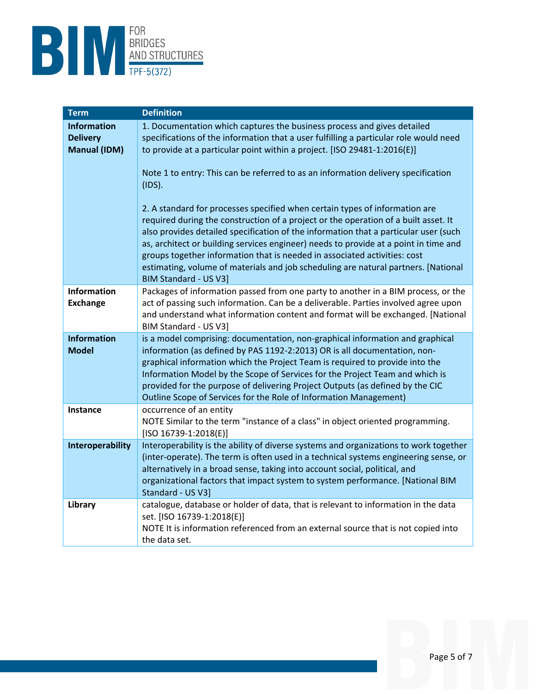

| <b>Term</b>                                                  | <b>Definition</b>                                                                                                                                                                                                                                                                                                                                                                                                                                                                                                                                                                                                                                                                                                                                                                                                                                                                                    |
|--------------------------------------------------------------|------------------------------------------------------------------------------------------------------------------------------------------------------------------------------------------------------------------------------------------------------------------------------------------------------------------------------------------------------------------------------------------------------------------------------------------------------------------------------------------------------------------------------------------------------------------------------------------------------------------------------------------------------------------------------------------------------------------------------------------------------------------------------------------------------------------------------------------------------------------------------------------------------|
| <b>Information</b><br><b>Delivery</b><br><b>Manual (IDM)</b> | 1. Documentation which captures the business process and gives detailed<br>specifications of the information that a user fulfilling a particular role would need<br>to provide at a particular point within a project. [ISO 29481-1:2016(E)]<br>Note 1 to entry: This can be referred to as an information delivery specification<br>(IDS).<br>2. A standard for processes specified when certain types of information are<br>required during the construction of a project or the operation of a built asset. It<br>also provides detailed specification of the information that a particular user (such<br>as, architect or building services engineer) needs to provide at a point in time and<br>groups together information that is needed in associated activities: cost<br>estimating, volume of materials and job scheduling are natural partners. [National<br><b>BIM Standard - US V3]</b> |
| Information<br><b>Exchange</b>                               | Packages of information passed from one party to another in a BIM process, or the<br>act of passing such information. Can be a deliverable. Parties involved agree upon<br>and understand what information content and format will be exchanged. [National<br>BIM Standard - US V3]                                                                                                                                                                                                                                                                                                                                                                                                                                                                                                                                                                                                                  |
| <b>Information</b><br><b>Model</b>                           | is a model comprising: documentation, non-graphical information and graphical<br>information (as defined by PAS 1192-2:2013) OR is all documentation, non-<br>graphical information which the Project Team is required to provide into the<br>Information Model by the Scope of Services for the Project Team and which is<br>provided for the purpose of delivering Project Outputs (as defined by the CIC<br>Outline Scope of Services for the Role of Information Management)                                                                                                                                                                                                                                                                                                                                                                                                                     |
| <b>Instance</b>                                              | occurrence of an entity<br>NOTE Similar to the term "instance of a class" in object oriented programming.<br>$[ISO 16739-1:2018(E)]$                                                                                                                                                                                                                                                                                                                                                                                                                                                                                                                                                                                                                                                                                                                                                                 |
| Interoperability                                             | Interoperability is the ability of diverse systems and organizations to work together<br>(inter-operate). The term is often used in a technical systems engineering sense, or<br>alternatively in a broad sense, taking into account social, political, and<br>organizational factors that impact system to system performance. [National BIM<br>Standard - US V3]                                                                                                                                                                                                                                                                                                                                                                                                                                                                                                                                   |
| Library                                                      | catalogue, database or holder of data, that is relevant to information in the data<br>set. [ISO 16739-1:2018(E)]<br>NOTE It is information referenced from an external source that is not copied into<br>the data set.                                                                                                                                                                                                                                                                                                                                                                                                                                                                                                                                                                                                                                                                               |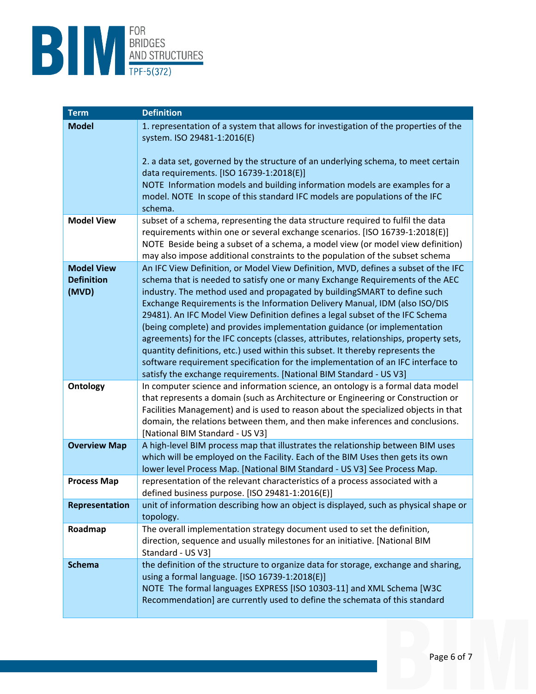

| <b>Term</b>         | <b>Definition</b>                                                                                                                                                   |
|---------------------|---------------------------------------------------------------------------------------------------------------------------------------------------------------------|
| <b>Model</b>        | 1. representation of a system that allows for investigation of the properties of the                                                                                |
|                     | system. ISO 29481-1:2016(E)                                                                                                                                         |
|                     | 2. a data set, governed by the structure of an underlying schema, to meet certain                                                                                   |
|                     | data requirements. [ISO 16739-1:2018(E)]                                                                                                                            |
|                     | NOTE Information models and building information models are examples for a                                                                                          |
|                     | model. NOTE In scope of this standard IFC models are populations of the IFC<br>schema.                                                                              |
| <b>Model View</b>   | subset of a schema, representing the data structure required to fulfil the data                                                                                     |
|                     | requirements within one or several exchange scenarios. [ISO 16739-1:2018(E)]                                                                                        |
|                     | NOTE Beside being a subset of a schema, a model view (or model view definition)                                                                                     |
| <b>Model View</b>   | may also impose additional constraints to the population of the subset schema<br>An IFC View Definition, or Model View Definition, MVD, defines a subset of the IFC |
| <b>Definition</b>   | schema that is needed to satisfy one or many Exchange Requirements of the AEC                                                                                       |
| (MVD)               | industry. The method used and propagated by buildingSMART to define such                                                                                            |
|                     | Exchange Requirements is the Information Delivery Manual, IDM (also ISO/DIS                                                                                         |
|                     | 29481). An IFC Model View Definition defines a legal subset of the IFC Schema                                                                                       |
|                     | (being complete) and provides implementation guidance (or implementation<br>agreements) for the IFC concepts (classes, attributes, relationships, property sets,    |
|                     | quantity definitions, etc.) used within this subset. It thereby represents the                                                                                      |
|                     | software requirement specification for the implementation of an IFC interface to                                                                                    |
|                     | satisfy the exchange requirements. [National BIM Standard - US V3]                                                                                                  |
| <b>Ontology</b>     | In computer science and information science, an ontology is a formal data model<br>that represents a domain (such as Architecture or Engineering or Construction or |
|                     | Facilities Management) and is used to reason about the specialized objects in that                                                                                  |
|                     | domain, the relations between them, and then make inferences and conclusions.                                                                                       |
|                     | [National BIM Standard - US V3]                                                                                                                                     |
| <b>Overview Map</b> | A high-level BIM process map that illustrates the relationship between BIM uses                                                                                     |
|                     | which will be employed on the Facility. Each of the BIM Uses then gets its own<br>lower level Process Map. [National BIM Standard - US V3] See Process Map.         |
| <b>Process Map</b>  | representation of the relevant characteristics of a process associated with a                                                                                       |
|                     | defined business purpose. [ISO 29481-1:2016(E)]                                                                                                                     |
| Representation      | unit of information describing how an object is displayed, such as physical shape or                                                                                |
| Roadmap             | topology.<br>The overall implementation strategy document used to set the definition,                                                                               |
|                     | direction, sequence and usually milestones for an initiative. [National BIM                                                                                         |
|                     | Standard - US V3]                                                                                                                                                   |
| <b>Schema</b>       | the definition of the structure to organize data for storage, exchange and sharing,                                                                                 |
|                     | using a formal language. [ISO 16739-1:2018(E)]                                                                                                                      |
|                     | NOTE The formal languages EXPRESS [ISO 10303-11] and XML Schema [W3C<br>Recommendation] are currently used to define the schemata of this standard                  |
|                     |                                                                                                                                                                     |